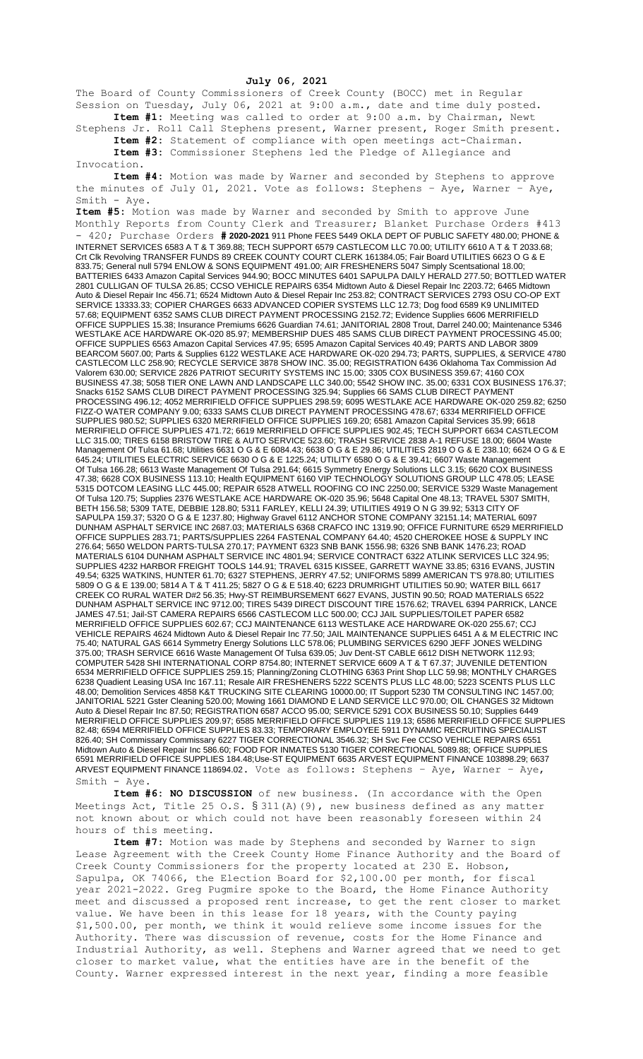## **July 06, 2021**

The Board of County Commissioners of Creek County (BOCC) met in Regular Session on Tuesday, July 06, 2021 at 9:00 a.m., date and time duly posted. **Item #1:** Meeting was called to order at 9:00 a.m. by Chairman, Newt

Stephens Jr. Roll Call Stephens present, Warner present, Roger Smith present. **Item #2:** Statement of compliance with open meetings act-Chairman.

**Item #3:** Commissioner Stephens led the Pledge of Allegiance and Invocation.

**Item #4:** Motion was made by Warner and seconded by Stephens to approve the minutes of July 01, 2021. Vote as follows: Stephens – Aye, Warner – Aye, Smith - Aye.

**Item #5:** Motion was made by Warner and seconded by Smith to approve June Monthly Reports from County Clerk and Treasurer; Blanket Purchase Orders #413 - 420; Purchase Orders **# 2020-2021** 911 Phone FEES 5449 OKLA DEPT OF PUBLIC SAFETY 480.00; PHONE & INTERNET SERVICES 6583 A T & T 369.88; TECH SUPPORT 6579 CASTLECOM LLC 70.00; UTILITY 6610 A T & T 2033.68; Crt Clk Revolving TRANSFER FUNDS 89 CREEK COUNTY COURT CLERK 161384.05; Fair Board UTILITIES 6623 O G & E 833.75; General null 5794 ENLOW & SONS EQUIPMENT 491.00; AIR FRESHENERS 5047 Simply Scentsational 18.00; BATTERIES 6433 Amazon Capital Services 944.90; BOCC MINUTES 6401 SAPULPA DAILY HERALD 277.50; BOTTLED WATER 2801 CULLIGAN OF TULSA 26.85; CCSO VEHICLE REPAIRS 6354 Midtown Auto & Diesel Repair Inc 2203.72; 6465 Midtown Auto & Diesel Repair Inc 456.71; 6524 Midtown Auto & Diesel Repair Inc 253.82; CONTRACT SERVICES 2793 OSU CO-OP EXT SERVICE 13333.33; COPIER CHARGES 6633 ADVANCED COPIER SYSTEMS LLC 12.73; Dog food 6589 K9 UNLIMITED 57.68; EQUIPMENT 6352 SAMS CLUB DIRECT PAYMENT PROCESSING 2152.72; Evidence Supplies 6606 MERRIFIELD OFFICE SUPPLIES 15.38; Insurance Premiums 6626 Guardian 74.61; JANITORIAL 2808 Trout, Darrel 240.00; Maintenance 5346 WESTLAKE ACE HARDWARE OK-020 85.97; MEMBERSHIP DUES 485 SAMS CLUB DIRECT PAYMENT PROCESSING 45.00; OFFICE SUPPLIES 6563 Amazon Capital Services 47.95; 6595 Amazon Capital Services 40.49; PARTS AND LABOR 3809 BEARCOM 5607.00; Parts & Supplies 6122 WESTLAKE ACE HARDWARE OK-020 294.73; PARTS, SUPPLIES, & SERVICE 4780 CASTLECOM LLC 258.90; RECYCLE SERVICE 3878 SHOW INC. 35.00; REGISTRATION 6436 Oklahoma Tax Commission Ad Valorem 630.00; SERVICE 2826 PATRIOT SECURITY SYSTEMS INC 15.00; 3305 COX BUSINESS 359.67; 4160 COX BUSINESS 47.38; 5058 TIER ONE LAWN AND LANDSCAPE LLC 340.00; 5542 SHOW INC. 35.00; 6331 COX BUSINESS 176.37; Snacks 6152 SAMS CLUB DIRECT PAYMENT PROCESSING 325.94; Supplies 66 SAMS CLUB DIRECT PAYMENT PROCESSING 496.12; 4052 MERRIFIELD OFFICE SUPPLIES 298.59; 6095 WESTLAKE ACE HARDWARE OK-020 259.82; 6250 FIZZ-O WATER COMPANY 9.00; 6333 SAMS CLUB DIRECT PAYMENT PROCESSING 478.67; 6334 MERRIFIELD OFFICE SUPPLIES 980.52; SUPPLIES 6320 MERRIFIELD OFFICE SUPPLIES 169.20; 6581 Amazon Capital Services 35.99; 6618 MERRIFIELD OFFICE SUPPLIES 471.72; 6619 MERRIFIELD OFFICE SUPPLIES 902.45; TECH SUPPORT 6634 CASTLECOM LLC 315.00; TIRES 6158 BRISTOW TIRE & AUTO SERVICE 523.60; TRASH SERVICE 2838 A-1 REFUSE 18.00; 6604 Waste Management Of Tulsa 61.68; Utilities 6631 O G & E 6084.43; 6638 O G & E 29.86; UTILITIES 2819 O G & E 238.10; 6624 O G & E 645.24; UTILITIES ELECTRIC SERVICE 6630 O G & E 1225.24; UTILITY 6580 O G & E 39.41; 6607 Waste Management Of Tulsa 166.28; 6613 Waste Management Of Tulsa 291.64; 6615 Symmetry Energy Solutions LLC 3.15; 6620 COX BUSINESS 47.38; 6628 COX BUSINESS 113.10; Health EQUIPMENT 6160 VIP TECHNOLOGY SOLUTIONS GROUP LLC 478.05; LEASE 5315 DOTCOM LEASING LLC 445.00; REPAIR 6528 ATWELL ROOFING CO INC 2250.00; SERVICE 5329 Waste Management Of Tulsa 120.75; Supplies 2376 WESTLAKE ACE HARDWARE OK-020 35.96; 5648 Capital One 48.13; TRAVEL 5307 SMITH, BETH 156.58; 5309 TATE, DEBBIE 128.80; 5311 FARLEY, KELLI 24.39; UTILITIES 4919 O N G 39.92; 5313 CITY OF SAPULPA 159.37; 5320 O G & E 1237.80; Highway Gravel 6112 ANCHOR STONE COMPANY 32151.14; MATERIAL 6097 DUNHAM ASPHALT SERVICE INC 2687.03; MATERIALS 6368 CRAFCO INC 1319.90; OFFICE FURNITURE 6529 MERRIFIELD OFFICE SUPPLIES 283.71; PARTS/SUPPLIES 2264 FASTENAL COMPANY 64.40; 4520 CHEROKEE HOSE & SUPPLY INC 276.64; 5650 WELDON PARTS-TULSA 270.17; PAYMENT 6323 SNB BANK 1556.98; 6326 SNB BANK 1476.23; ROAD MATERIALS 6104 DUNHAM ASPHALT SERVICE INC 4801.94; SERVICE CONTRACT 6322 ATLINK SERVICES LLC 324.95; SUPPLIES 4232 HARBOR FREIGHT TOOLS 144.91; TRAVEL 6315 KISSEE, GARRETT WAYNE 33.85; 6316 EVANS, JUSTIN 49.54; 6325 WATKINS, HUNTER 61.70; 6327 STEPHENS, JERRY 47.52; UNIFORMS 5899 AMERICAN T'S 978.80; UTILITIES 5809 O G & E 139.00; 5814 A T & T 411.25; 5827 O G & E 518.40; 6223 DRUMRIGHT UTILITIES 50.90; WATER BILL 6617 CREEK CO RURAL WATER D#2 56.35; Hwy-ST REIMBURSEMENT 6627 EVANS, JUSTIN 90.50; ROAD MATERIALS 6522 DUNHAM ASPHALT SERVICE INC 9712.00; TIRES 5439 DIRECT DISCOUNT TIRE 1576.62; TRAVEL 6394 PARRICK, LANCE JAMES 47.51; Jail-ST CAMERA REPAIRS 6566 CASTLECOM LLC 500.00; CCJ JAIL SUPPLIES/TOILET PAPER 6582 MERRIFIELD OFFICE SUPPLIES 602.67; CCJ MAINTENANCE 6113 WESTLAKE ACE HARDWARE OK-020 255.67; CCJ VEHICLE REPAIRS 4624 Midtown Auto & Diesel Repair Inc 77.50; JAIL MAINTENANCE SUPPLIES 6451 A & M ELECTRIC INC 75.40; NATURAL GAS 6614 Symmetry Energy Solutions LLC 578.06; PLUMBING SERVICES 6290 JEFF JONES WELDING 375.00; TRASH SERVICE 6616 Waste Management Of Tulsa 639.05; Juv Dent-ST CABLE 6612 DISH NETWORK 112.93; COMPUTER 5428 SHI INTERNATIONAL CORP 8754.80; INTERNET SERVICE 6609 A T & T 67.37; JUVENILE DETENTION 6534 MERRIFIELD OFFICE SUPPLIES 259.15; Planning/Zoning CLOTHING 6363 Print Shop LLC 59.98; MONTHLY CHARGES 6238 Quadient Leasing USA Inc 167.11; Resale AIR FRESHENERS 5222 SCENTS PLUS LLC 48.00; 5223 SCENTS PLUS LLC 48.00; Demolition Services 4858 K&T TRUCKING SITE CLEARING 10000.00; IT Support 5230 TM CONSULTING INC 1457.00; JANITORIAL 5221 Gster Cleaning 520.00; Mowing 1661 DIAMOND E LAND SERVICE LLC 970.00; OIL CHANGES 32 Midtown Auto & Diesel Repair Inc 87.50; REGISTRATION 6587 ACCO 95.00; SERVICE 5291 COX BUSINESS 50.10; Supplies 6449 MERRIFIELD OFFICE SUPPLIES 209.97; 6585 MERRIFIELD OFFICE SUPPLIES 119.13; 6586 MERRIFIELD OFFICE SUPPLIES 82.48; 6594 MERRIFIELD OFFICE SUPPLIES 83.33; TEMPORARY EMPLOYEE 5911 DYNAMIC RECRUITING SPECIALIST 826.40; SH Commissary Commissary 6227 TIGER CORRECTIONAL 3546.32; SH Svc Fee CCSO VEHICLE REPAIRS 6551 Midtown Auto & Diesel Repair Inc 586.60; FOOD FOR INMATES 5130 TIGER CORRECTIONAL 5089.88; OFFICE SUPPLIES 6591 MERRIFIELD OFFICE SUPPLIES 184.48;Use-ST EQUIPMENT 6635 ARVEST EQUIPMENT FINANCE 103898.29; 6637 ARVEST EQUIPMENT FINANCE 118694.02. Vote as follows: Stephens – Aye, Warner – Aye, Smith - Aye.

**Item #6: NO DISCUSSION** of new business. (In accordance with the Open Meetings Act, Title 25 O.S. § 311(A)(9), new business defined as any matter not known about or which could not have been reasonably foreseen within 24 hours of this meeting.

**Item #7:** Motion was made by Stephens and seconded by Warner to sign Lease Agreement with the Creek County Home Finance Authority and the Board of Creek County Commissioners for the property located at 230 E. Hobson, Sapulpa, OK 74066, the Election Board for \$2,100.00 per month, for fiscal year 2021-2022. Greg Pugmire spoke to the Board, the Home Finance Authority meet and discussed a proposed rent increase, to get the rent closer to market value. We have been in this lease for 18 years, with the County paying \$1,500.00, per month, we think it would relieve some income issues for the Authority. There was discussion of revenue, costs for the Home Finance and Industrial Authority, as well. Stephens and Warner agreed that we need to get closer to market value, what the entities have are in the benefit of the County. Warner expressed interest in the next year, finding a more feasible